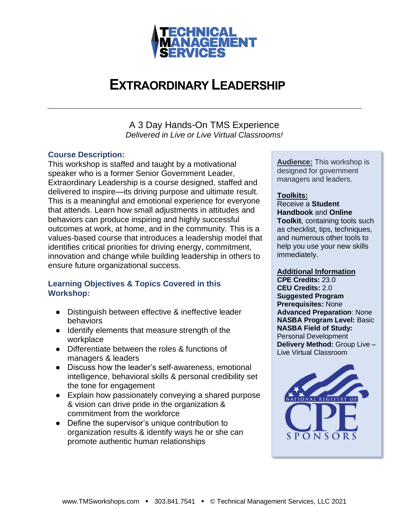

## **EXTRAORDINARY LEADERSHIP**

A 3 Day Hands-On TMS Experience *Delivered in Live or Live Virtual Classrooms!*

### **Course Description:**

This workshop is staffed and taught by a motivational speaker who is a former Senior Government Leader, Extraordinary Leadership is a course designed, staffed and delivered to inspire—its driving purpose and ultimate result. This is a meaningful and emotional experience for everyone that attends. Learn how small adjustments in attitudes and behaviors can produce inspiring and highly successful outcomes at work, at home, and in the community. This is a values-based course that introduces a leadership model that identifies critical priorities for driving energy, commitment, innovation and change while building leadership in others to ensure future organizational success.

### **Learning Objectives & Topics Covered in this Workshop:**

- Distinguish between effective & ineffective leader behaviors
- Identify elements that measure strength of the workplace
- Differentiate between the roles & functions of managers & leaders
- Discuss how the leader's self-awareness, emotional intelligence, behavioral skills & personal credibility set the tone for engagement
- Explain how passionately conveying a shared purpose & vision can drive pride in the organization & commitment from the workforce
- Define the supervisor's unique contribution to organization results & identify ways he or she can promote authentic human relationships

**Audience:** This workshop is designed for government managers and leaders.

### **Toolkits:**

Receive a **Student Handbook** and **Online Toolkit**, containing tools such as checklist, tips, techniques, and numerous other tools to help you use your new skills immediately.

#### **Additional Information**

**CPE Credits:** 23.0 **CEU Credits:** 2.0 **Suggested Program Prerequisites:** None **Advanced Preparation**: None **NASBA Program Level:** Basic **NASBA Field of Study:** Personal Development **Delivery Method:** Group Live – Live Virtual Classroom

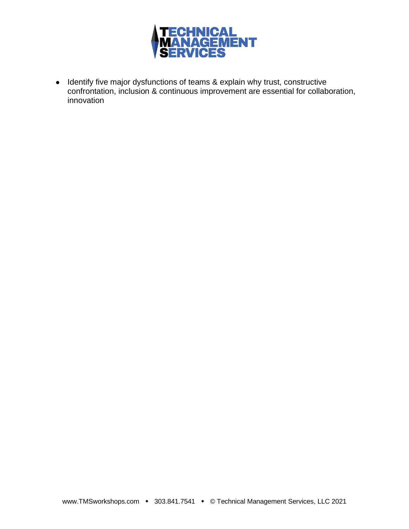

● Identify five major dysfunctions of teams & explain why trust, constructive confrontation, inclusion & continuous improvement are essential for collaboration, innovation